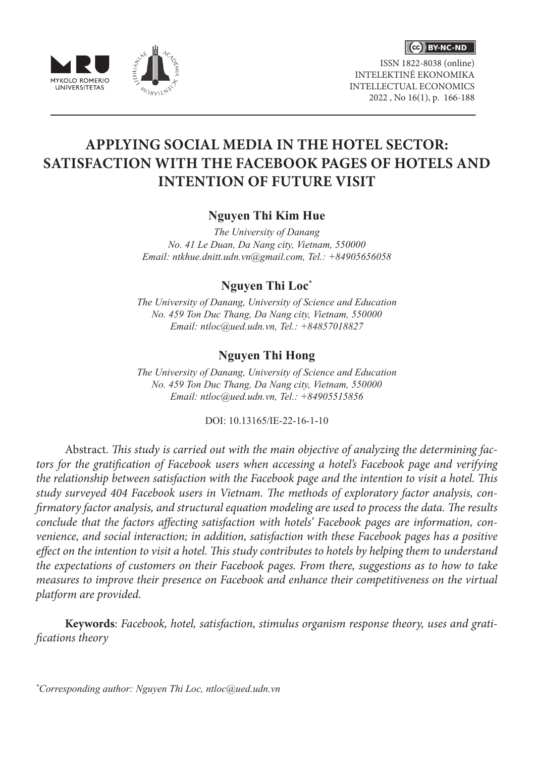



ISSN 1822-8038 (online) INTELEKTINĖ EKONOMIKA INTELLECTUAL ECONOMICS 2022 , No 16(1), p. 166-188

# **APPLYING SOCIAL MEDIA IN THE HOTEL SECTOR: SATISFACTION WITH THE FACEBOOK PAGES OF HOTELS AND INTENTION OF FUTURE VISIT**

**Nguyen Thi Kim Hue**

*The University of Danang No. 41 Le Duan, Da Nang city, Vietnam, 550000 Email: ntkhue.dnitt.udn.vn@gmail.com, Tel.: +84905656058*

**Nguyen Thi Loc\***

*The University of Danang, University of Science and Education No. 459 Ton Duc Thang, Da Nang city, Vietnam, 550000 Email: ntloc@ued.udn.vn, Tel.: +84857018827*

## **Nguyen Thi Hong**

*The University of Danang, University of Science and Education No. 459 Ton Duc Thang, Da Nang city, Vietnam, 550000 Email: ntloc@ued.udn.vn, Tel.: +84905515856*

DOI: 10.13165/IE-22-16-1-10

Abstract. *This study is carried out with the main objective of analyzing the determining factors for the gratification of Facebook users when accessing a hotel's Facebook page and verifying the relationship between satisfaction with the Facebook page and the intention to visit a hotel. This study surveyed 404 Facebook users in Vietnam. The methods of exploratory factor analysis, confirmatory factor analysis, and structural equation modeling are used to process the data. The results conclude that the factors affecting satisfaction with hotels' Facebook pages are information, convenience, and social interaction; in addition, satisfaction with these Facebook pages has a positive effect on the intention to visit a hotel. This study contributes to hotels by helping them to understand the expectations of customers on their Facebook pages. From there, suggestions as to how to take measures to improve their presence on Facebook and enhance their competitiveness on the virtual platform are provided.*

**Keywords**: *Facebook, hotel, satisfaction, stimulus organism response theory, uses and gratifications theory*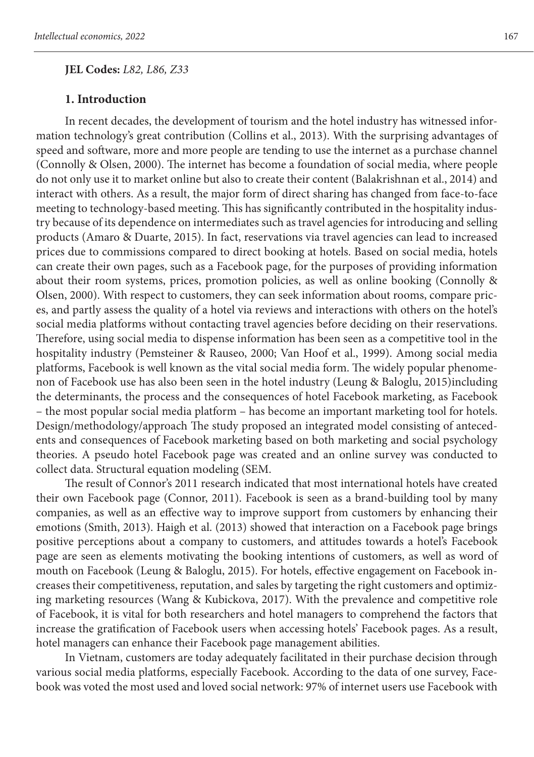**JEL Codes:** *L82, L86, Z33*

#### **1. Introduction**

In recent decades, the development of tourism and the hotel industry has witnessed information technology's great contribution (Collins et al., 2013). With the surprising advantages of speed and software, more and more people are tending to use the internet as a purchase channel (Connolly & Olsen, 2000). The internet has become a foundation of social media, where people do not only use it to market online but also to create their content (Balakrishnan et al., 2014) and interact with others. As a result, the major form of direct sharing has changed from face-to-face meeting to technology-based meeting. This has significantly contributed in the hospitality industry because of its dependence on intermediates such as travel agencies for introducing and selling products (Amaro & Duarte, 2015). In fact, reservations via travel agencies can lead to increased prices due to commissions compared to direct booking at hotels. Based on social media, hotels can create their own pages, such as a Facebook page, for the purposes of providing information about their room systems, prices, promotion policies, as well as online booking (Connolly & Olsen, 2000). With respect to customers, they can seek information about rooms, compare prices, and partly assess the quality of a hotel via reviews and interactions with others on the hotel's social media platforms without contacting travel agencies before deciding on their reservations. Therefore, using social media to dispense information has been seen as a competitive tool in the hospitality industry (Pemsteiner & Rauseo, 2000; Van Hoof et al., 1999). Among social media platforms, Facebook is well known as the vital social media form. The widely popular phenomenon of Facebook use has also been seen in the hotel industry (Leung & Baloglu, 2015)including the determinants, the process and the consequences of hotel Facebook marketing, as Facebook – the most popular social media platform – has become an important marketing tool for hotels. Design/methodology/approach The study proposed an integrated model consisting of antecedents and consequences of Facebook marketing based on both marketing and social psychology theories. A pseudo hotel Facebook page was created and an online survey was conducted to collect data. Structural equation modeling (SEM.

The result of Connor's 2011 research indicated that most international hotels have created their own Facebook page (Connor, 2011). Facebook is seen as a brand-building tool by many companies, as well as an effective way to improve support from customers by enhancing their emotions (Smith, 2013). Haigh et al. (2013) showed that interaction on a Facebook page brings positive perceptions about a company to customers, and attitudes towards a hotel's Facebook page are seen as elements motivating the booking intentions of customers, as well as word of mouth on Facebook (Leung & Baloglu, 2015). For hotels, effective engagement on Facebook increases their competitiveness, reputation, and sales by targeting the right customers and optimizing marketing resources (Wang & Kubickova, 2017). With the prevalence and competitive role of Facebook, it is vital for both researchers and hotel managers to comprehend the factors that increase the gratification of Facebook users when accessing hotels' Facebook pages. As a result, hotel managers can enhance their Facebook page management abilities.

In Vietnam, customers are today adequately facilitated in their purchase decision through various social media platforms, especially Facebook. According to the data of one survey, Facebook was voted the most used and loved social network: 97% of internet users use Facebook with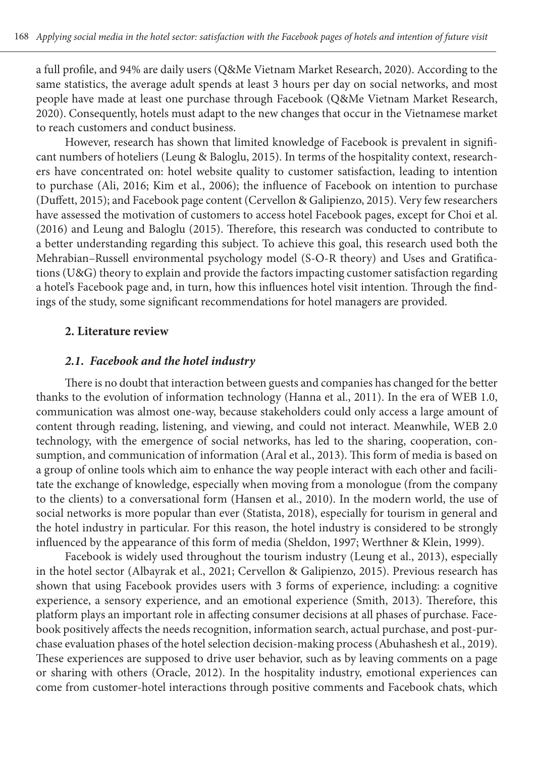a full profile, and 94% are daily users (Q&Me Vietnam Market Research, 2020). According to the same statistics, the average adult spends at least 3 hours per day on social networks, and most people have made at least one purchase through Facebook (Q&Me Vietnam Market Research, 2020). Consequently, hotels must adapt to the new changes that occur in the Vietnamese market to reach customers and conduct business.

However, research has shown that limited knowledge of Facebook is prevalent in significant numbers of hoteliers (Leung & Baloglu, 2015). In terms of the hospitality context, researchers have concentrated on: hotel website quality to customer satisfaction, leading to intention to purchase (Ali, 2016; Kim et al., 2006); the influence of Facebook on intention to purchase (Duffett, 2015); and Facebook page content (Cervellon & Galipienzo, 2015). Very few researchers have assessed the motivation of customers to access hotel Facebook pages, except for Choi et al. (2016) and Leung and Baloglu (2015). Therefore, this research was conducted to contribute to a better understanding regarding this subject. To achieve this goal, this research used both the Mehrabian–Russell environmental psychology model (S-O-R theory) and Uses and Gratifications (U&G) theory to explain and provide the factors impacting customer satisfaction regarding a hotel's Facebook page and, in turn, how this influences hotel visit intention. Through the findings of the study, some significant recommendations for hotel managers are provided.

#### **2. Literature review**

#### *2.1. Facebook and the hotel industry*

There is no doubt that interaction between guests and companies has changed for the better thanks to the evolution of information technology (Hanna et al., 2011). In the era of WEB 1.0, communication was almost one-way, because stakeholders could only access a large amount of content through reading, listening, and viewing, and could not interact. Meanwhile, WEB 2.0 technology, with the emergence of social networks, has led to the sharing, cooperation, consumption, and communication of information (Aral et al., 2013). This form of media is based on a group of online tools which aim to enhance the way people interact with each other and facilitate the exchange of knowledge, especially when moving from a monologue (from the company to the clients) to a conversational form (Hansen et al., 2010). In the modern world, the use of social networks is more popular than ever (Statista, 2018), especially for tourism in general and the hotel industry in particular. For this reason, the hotel industry is considered to be strongly influenced by the appearance of this form of media (Sheldon, 1997; Werthner & Klein, 1999).

Facebook is widely used throughout the tourism industry (Leung et al., 2013), especially in the hotel sector (Albayrak et al., 2021; Cervellon & Galipienzo, 2015). Previous research has shown that using Facebook provides users with 3 forms of experience, including: a cognitive experience, a sensory experience, and an emotional experience (Smith, 2013). Therefore, this platform plays an important role in affecting consumer decisions at all phases of purchase. Facebook positively affects the needs recognition, information search, actual purchase, and post-purchase evaluation phases of the hotel selection decision-making process (Abuhashesh et al., 2019). These experiences are supposed to drive user behavior, such as by leaving comments on a page or sharing with others (Oracle, 2012). In the hospitality industry, emotional experiences can come from customer-hotel interactions through positive comments and Facebook chats, which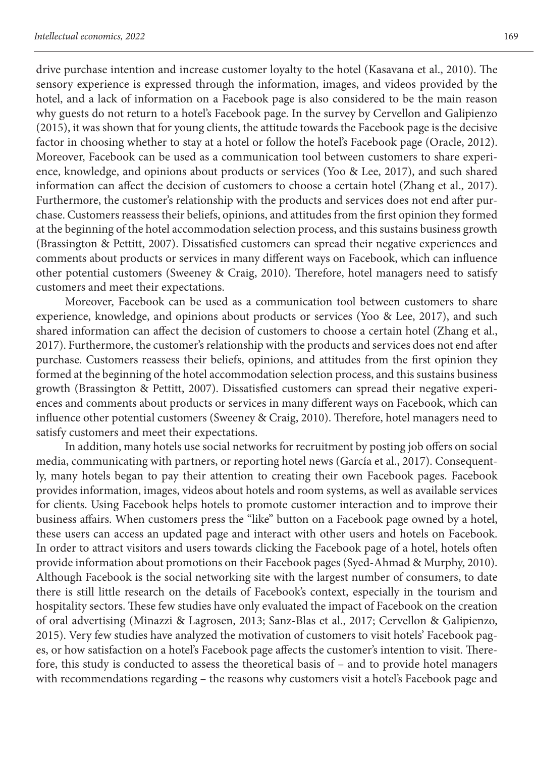drive purchase intention and increase customer loyalty to the hotel (Kasavana et al., 2010). The sensory experience is expressed through the information, images, and videos provided by the hotel, and a lack of information on a Facebook page is also considered to be the main reason why guests do not return to a hotel's Facebook page. In the survey by Cervellon and Galipienzo (2015), it was shown that for young clients, the attitude towards the Facebook page is the decisive factor in choosing whether to stay at a hotel or follow the hotel's Facebook page (Oracle, 2012). Moreover, Facebook can be used as a communication tool between customers to share experience, knowledge, and opinions about products or services (Yoo & Lee, 2017), and such shared information can affect the decision of customers to choose a certain hotel (Zhang et al., 2017). Furthermore, the customer's relationship with the products and services does not end after purchase. Customers reassess their beliefs, opinions, and attitudes from the first opinion they formed at the beginning of the hotel accommodation selection process, and this sustains business growth (Brassington & Pettitt, 2007). Dissatisfied customers can spread their negative experiences and comments about products or services in many different ways on Facebook, which can influence other potential customers (Sweeney & Craig, 2010). Therefore, hotel managers need to satisfy customers and meet their expectations.

Moreover, Facebook can be used as a communication tool between customers to share experience, knowledge, and opinions about products or services (Yoo & Lee, 2017), and such shared information can affect the decision of customers to choose a certain hotel (Zhang et al., 2017). Furthermore, the customer's relationship with the products and services does not end after purchase. Customers reassess their beliefs, opinions, and attitudes from the first opinion they formed at the beginning of the hotel accommodation selection process, and this sustains business growth (Brassington & Pettitt, 2007). Dissatisfied customers can spread their negative experiences and comments about products or services in many different ways on Facebook, which can influence other potential customers (Sweeney & Craig, 2010). Therefore, hotel managers need to satisfy customers and meet their expectations.

In addition, many hotels use social networks for recruitment by posting job offers on social media, communicating with partners, or reporting hotel news (García et al., 2017). Consequently, many hotels began to pay their attention to creating their own Facebook pages. Facebook provides information, images, videos about hotels and room systems, as well as available services for clients. Using Facebook helps hotels to promote customer interaction and to improve their business affairs. When customers press the "like" button on a Facebook page owned by a hotel, these users can access an updated page and interact with other users and hotels on Facebook. In order to attract visitors and users towards clicking the Facebook page of a hotel, hotels often provide information about promotions on their Facebook pages (Syed-Ahmad & Murphy, 2010). Although Facebook is the social networking site with the largest number of consumers, to date there is still little research on the details of Facebook's context, especially in the tourism and hospitality sectors. These few studies have only evaluated the impact of Facebook on the creation of oral advertising (Minazzi & Lagrosen, 2013; Sanz-Blas et al., 2017; Cervellon & Galipienzo, 2015). Very few studies have analyzed the motivation of customers to visit hotels' Facebook pages, or how satisfaction on a hotel's Facebook page affects the customer's intention to visit. Therefore, this study is conducted to assess the theoretical basis of – and to provide hotel managers with recommendations regarding – the reasons why customers visit a hotel's Facebook page and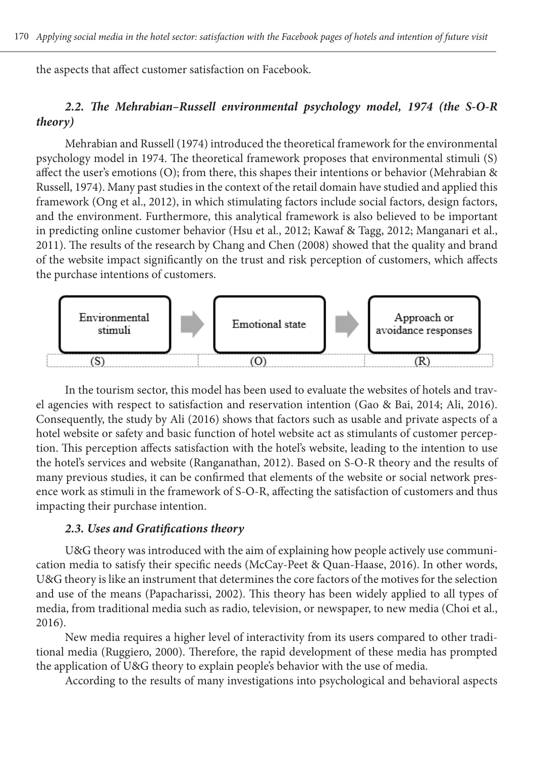the aspects that affect customer satisfaction on Facebook.

## *2.2. The Mehrabian–Russell environmental psychology model, 1974 (the S-O-R theory)*

Mehrabian and Russell (1974) introduced the theoretical framework for the environmental psychology model in 1974. The theoretical framework proposes that environmental stimuli (S) affect the user's emotions (O); from there, this shapes their intentions or behavior (Mehrabian & Russell, 1974). Many past studies in the context of the retail domain have studied and applied this framework (Ong et al., 2012), in which stimulating factors include social factors, design factors, and the environment. Furthermore, this analytical framework is also believed to be important in predicting online customer behavior (Hsu et al., 2012; Kawaf & Tagg, 2012; Manganari et al., 2011). The results of the research by Chang and Chen (2008) showed that the quality and brand of the website impact significantly on the trust and risk perception of customers, which affects the purchase intentions of customers.



In the tourism sector, this model has been used to evaluate the websites of hotels and travel agencies with respect to satisfaction and reservation intention (Gao & Bai, 2014; Ali, 2016). Consequently, the study by Ali (2016) shows that factors such as usable and private aspects of a hotel website or safety and basic function of hotel website act as stimulants of customer perception. This perception affects satisfaction with the hotel's website, leading to the intention to use the hotel's services and website (Ranganathan, 2012). Based on S-O-R theory and the results of many previous studies, it can be confirmed that elements of the website or social network presence work as stimuli in the framework of S-O-R, affecting the satisfaction of customers and thus impacting their purchase intention.

#### *2.3. Uses and Gratifications theory*

U&G theory was introduced with the aim of explaining how people actively use communication media to satisfy their specific needs (McCay-Peet & Quan-Haase, 2016). In other words, U&G theory is like an instrument that determines the core factors of the motives for the selection and use of the means (Papacharissi, 2002). This theory has been widely applied to all types of media, from traditional media such as radio, television, or newspaper, to new media (Choi et al., 2016).

New media requires a higher level of interactivity from its users compared to other traditional media (Ruggiero, 2000). Therefore, the rapid development of these media has prompted the application of U&G theory to explain people's behavior with the use of media.

According to the results of many investigations into psychological and behavioral aspects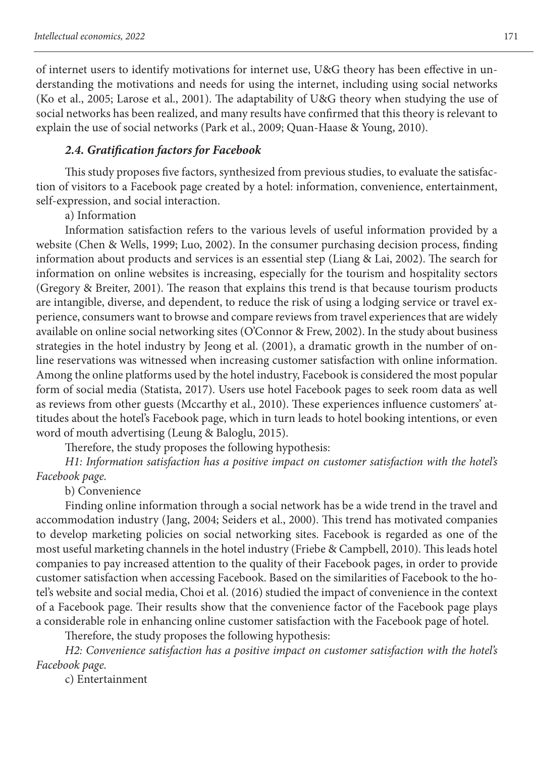of internet users to identify motivations for internet use, U&G theory has been effective in understanding the motivations and needs for using the internet, including using social networks (Ko et al., 2005; Larose et al., 2001). The adaptability of U&G theory when studying the use of social networks has been realized, and many results have confirmed that this theory is relevant to explain the use of social networks (Park et al., 2009; Quan-Haase & Young, 2010).

### *2.4. Gratification factors for Facebook*

This study proposes five factors, synthesized from previous studies, to evaluate the satisfaction of visitors to a Facebook page created by a hotel: information, convenience, entertainment, self-expression, and social interaction.

a) Information

Information satisfaction refers to the various levels of useful information provided by a website (Chen & Wells, 1999; Luo, 2002). In the consumer purchasing decision process, finding information about products and services is an essential step (Liang & Lai, 2002). The search for information on online websites is increasing, especially for the tourism and hospitality sectors (Gregory & Breiter, 2001). The reason that explains this trend is that because tourism products are intangible, diverse, and dependent, to reduce the risk of using a lodging service or travel experience, consumers want to browse and compare reviews from travel experiences that are widely available on online social networking sites (O'Connor & Frew, 2002). In the study about business strategies in the hotel industry by Jeong et al. (2001), a dramatic growth in the number of online reservations was witnessed when increasing customer satisfaction with online information. Among the online platforms used by the hotel industry, Facebook is considered the most popular form of social media (Statista, 2017). Users use hotel Facebook pages to seek room data as well as reviews from other guests (Mccarthy et al., 2010). These experiences influence customers' attitudes about the hotel's Facebook page, which in turn leads to hotel booking intentions, or even word of mouth advertising (Leung & Baloglu, 2015).

Therefore, the study proposes the following hypothesis:

*H1: Information satisfaction has a positive impact on customer satisfaction with the hotel's Facebook page.*

b) Convenience

Finding online information through a social network has be a wide trend in the travel and accommodation industry (Jang, 2004; Seiders et al., 2000). This trend has motivated companies to develop marketing policies on social networking sites. Facebook is regarded as one of the most useful marketing channels in the hotel industry (Friebe & Campbell, 2010). This leads hotel companies to pay increased attention to the quality of their Facebook pages, in order to provide customer satisfaction when accessing Facebook. Based on the similarities of Facebook to the hotel's website and social media, Choi et al. (2016) studied the impact of convenience in the context of a Facebook page. Their results show that the convenience factor of the Facebook page plays a considerable role in enhancing online customer satisfaction with the Facebook page of hotel.

Therefore, the study proposes the following hypothesis:

*H2: Convenience satisfaction has a positive impact on customer satisfaction with the hotel's Facebook page.*

c) Entertainment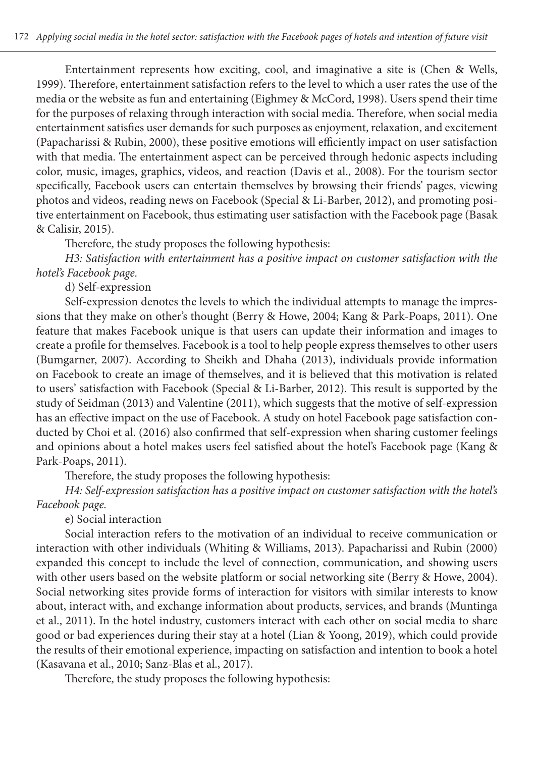Entertainment represents how exciting, cool, and imaginative a site is (Chen & Wells, 1999). Therefore, entertainment satisfaction refers to the level to which a user rates the use of the media or the website as fun and entertaining (Eighmey & McCord, 1998). Users spend their time for the purposes of relaxing through interaction with social media. Therefore, when social media entertainment satisfies user demands for such purposes as enjoyment, relaxation, and excitement (Papacharissi & Rubin, 2000), these positive emotions will efficiently impact on user satisfaction with that media. The entertainment aspect can be perceived through hedonic aspects including color, music, images, graphics, videos, and reaction (Davis et al., 2008). For the tourism sector specifically, Facebook users can entertain themselves by browsing their friends' pages, viewing photos and videos, reading news on Facebook (Special & Li-Barber, 2012), and promoting positive entertainment on Facebook, thus estimating user satisfaction with the Facebook page (Basak & Calisir, 2015).

Therefore, the study proposes the following hypothesis:

*H3: Satisfaction with entertainment has a positive impact on customer satisfaction with the hotel's Facebook page.*

d) Self-expression

Self-expression denotes the levels to which the individual attempts to manage the impressions that they make on other's thought (Berry & Howe, 2004; Kang & Park-Poaps, 2011). One feature that makes Facebook unique is that users can update their information and images to create a profile for themselves. Facebook is a tool to help people express themselves to other users (Bumgarner, 2007). According to Sheikh and Dhaha (2013), individuals provide information on Facebook to create an image of themselves, and it is believed that this motivation is related to users' satisfaction with Facebook (Special & Li-Barber, 2012). This result is supported by the study of Seidman (2013) and Valentine (2011), which suggests that the motive of self-expression has an effective impact on the use of Facebook. A study on hotel Facebook page satisfaction conducted by Choi et al. (2016) also confirmed that self-expression when sharing customer feelings and opinions about a hotel makes users feel satisfied about the hotel's Facebook page (Kang & Park-Poaps, 2011).

Therefore, the study proposes the following hypothesis:

*H4: Self-expression satisfaction has a positive impact on customer satisfaction with the hotel's Facebook page.*

e) Social interaction

Social interaction refers to the motivation of an individual to receive communication or interaction with other individuals (Whiting & Williams, 2013). Papacharissi and Rubin (2000) expanded this concept to include the level of connection, communication, and showing users with other users based on the website platform or social networking site (Berry & Howe, 2004). Social networking sites provide forms of interaction for visitors with similar interests to know about, interact with, and exchange information about products, services, and brands (Muntinga et al., 2011). In the hotel industry, customers interact with each other on social media to share good or bad experiences during their stay at a hotel (Lian & Yoong, 2019), which could provide the results of their emotional experience, impacting on satisfaction and intention to book a hotel (Kasavana et al., 2010; Sanz-Blas et al., 2017).

Therefore, the study proposes the following hypothesis: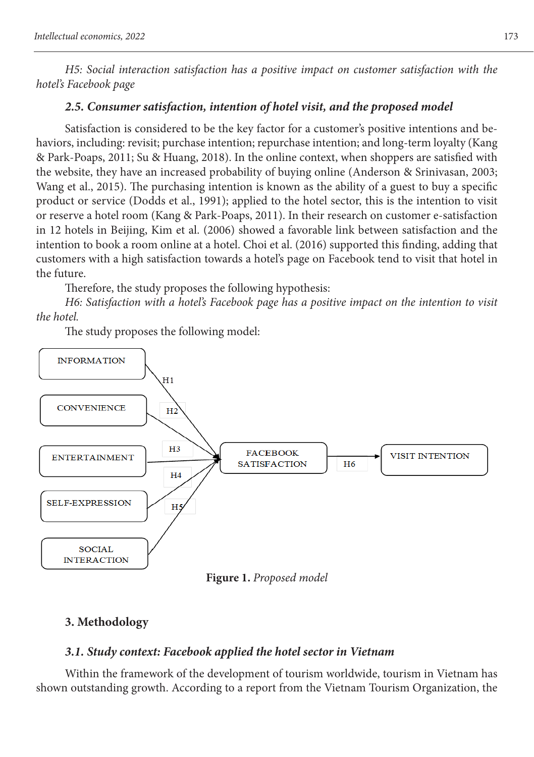*H5: Social interaction satisfaction has a positive impact on customer satisfaction with the hotel's Facebook page*

## *2.5. Consumer satisfaction, intention of hotel visit, and the proposed model*

Satisfaction is considered to be the key factor for a customer's positive intentions and behaviors, including: revisit; purchase intention; repurchase intention; and long-term loyalty (Kang & Park-Poaps, 2011; Su & Huang, 2018). In the online context, when shoppers are satisfied with the website, they have an increased probability of buying online (Anderson & Srinivasan, 2003; Wang et al., 2015). The purchasing intention is known as the ability of a guest to buy a specific product or service (Dodds et al., 1991); applied to the hotel sector, this is the intention to visit or reserve a hotel room (Kang & Park-Poaps, 2011). In their research on customer e-satisfaction in 12 hotels in Beijing, Kim et al. (2006) showed a favorable link between satisfaction and the intention to book a room online at a hotel. Choi et al. (2016) supported this finding, adding that customers with a high satisfaction towards a hotel's page on Facebook tend to visit that hotel in the future.

Therefore, the study proposes the following hypothesis:

*H6: Satisfaction with a hotel's Facebook page has a positive impact on the intention to visit the hotel.*

The study proposes the following model:



# **3. Methodology**

## *3.1. Study context: Facebook applied the hotel sector in Vietnam*

Within the framework of the development of tourism worldwide, tourism in Vietnam has shown outstanding growth. According to a report from the Vietnam Tourism Organization, the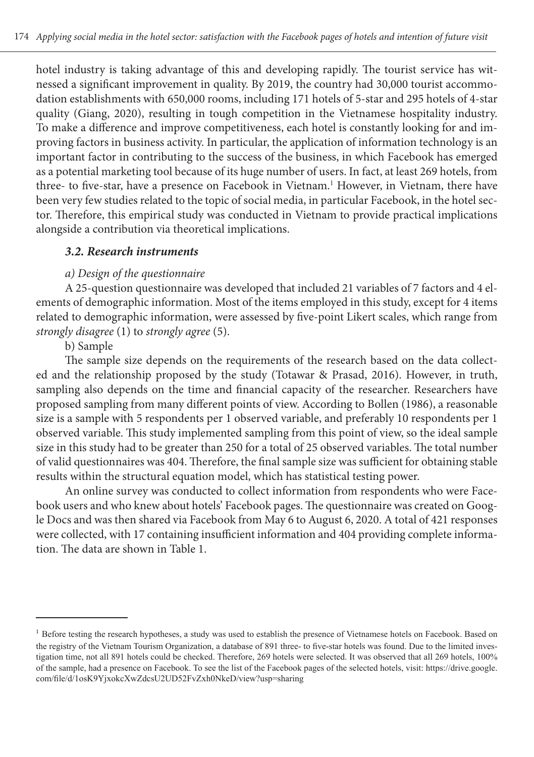hotel industry is taking advantage of this and developing rapidly. The tourist service has witnessed a significant improvement in quality. By 2019, the country had 30,000 tourist accommodation establishments with 650,000 rooms, including 171 hotels of 5-star and 295 hotels of 4-star quality (Giang, 2020), resulting in tough competition in the Vietnamese hospitality industry. To make a difference and improve competitiveness, each hotel is constantly looking for and improving factors in business activity. In particular, the application of information technology is an important factor in contributing to the success of the business, in which Facebook has emerged as a potential marketing tool because of its huge number of users. In fact, at least 269 hotels, from three- to five-star, have a presence on Facebook in Vietnam.<sup>1</sup> However, in Vietnam, there have been very few studies related to the topic of social media, in particular Facebook, in the hotel sector. Therefore, this empirical study was conducted in Vietnam to provide practical implications alongside a contribution via theoretical implications.

#### *3.2. Research instruments*

### *a) Design of the questionnaire*

A 25-question questionnaire was developed that included 21 variables of 7 factors and 4 elements of demographic information. Most of the items employed in this study, except for 4 items related to demographic information, were assessed by five-point Likert scales, which range from *strongly disagree* (1) to *strongly agree* (5).

## b) Sample

The sample size depends on the requirements of the research based on the data collected and the relationship proposed by the study (Totawar & Prasad, 2016). However, in truth, sampling also depends on the time and financial capacity of the researcher. Researchers have proposed sampling from many different points of view. According to Bollen (1986), a reasonable size is a sample with 5 respondents per 1 observed variable, and preferably 10 respondents per 1 observed variable. This study implemented sampling from this point of view, so the ideal sample size in this study had to be greater than 250 for a total of 25 observed variables. The total number of valid questionnaires was 404. Therefore, the final sample size was sufficient for obtaining stable results within the structural equation model, which has statistical testing power.

An online survey was conducted to collect information from respondents who were Facebook users and who knew about hotels' Facebook pages. The questionnaire was created on Google Docs and was then shared via Facebook from May 6 to August 6, 2020. A total of 421 responses were collected, with 17 containing insufficient information and 404 providing complete information. The data are shown in Table 1.

<sup>&</sup>lt;sup>1</sup> Before testing the research hypotheses, a study was used to establish the presence of Vietnamese hotels on Facebook. Based on the registry of the Vietnam Tourism Organization, a database of 891 three- to five-star hotels was found. Due to the limited investigation time, not all 891 hotels could be checked. Therefore, 269 hotels were selected. It was observed that all 269 hotels, 100% of the sample, had a presence on Facebook. To see the list of the Facebook pages of the selected hotels, visit: https://drive.google. com/file/d/1osK9YjxokcXwZdcsU2UD52FvZxh0NkeD/view?usp=sharing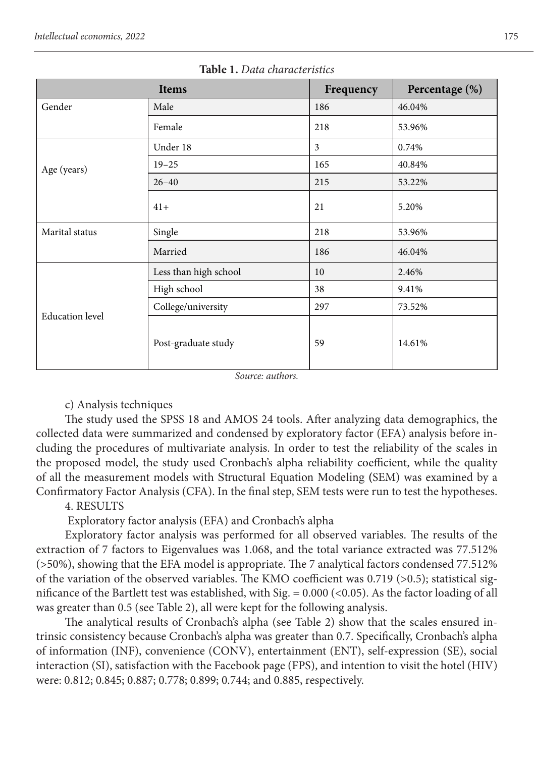|                        | Items                 | Frequency | Percentage (%) |
|------------------------|-----------------------|-----------|----------------|
| Gender                 | Male                  | 186       | 46.04%         |
|                        | Female                | 218       | 53.96%         |
|                        | Under 18              | 3         | 0.74%          |
| Age (years)            | $19 - 25$             | 165       | 40.84%         |
|                        | $26 - 40$             | 215       | 53.22%         |
|                        | $41+$                 | 21        | 5.20%          |
| Marital status         | Single                | 218       | 53.96%         |
|                        | Married               | 186       | 46.04%         |
|                        | Less than high school | 10        | 2.46%          |
|                        | High school           | 38        | 9.41%          |
|                        | College/university    | 297       | 73.52%         |
| <b>Education</b> level | Post-graduate study   | 59        | 14.61%         |

**Table 1.** *Data characteristics*

*Source: authors.* 

## c) Analysis techniques

The study used the SPSS 18 and AMOS 24 tools. After analyzing data demographics, the collected data were summarized and condensed by exploratory factor (EFA) analysis before including the procedures of multivariate analysis. In order to test the reliability of the scales in the proposed model, the study used Cronbach's alpha reliability coefficient, while the quality of all the measurement models with Structural Equation Modeling **(**SEM) was examined by a Confirmatory Factor Analysis (CFA). In the final step, SEM tests were run to test the hypotheses.

## 4. RESULTS

Exploratory factor analysis (EFA) and Cronbach's alpha

Exploratory factor analysis was performed for all observed variables. The results of the extraction of 7 factors to Eigenvalues was 1.068, and the total variance extracted was 77.512% (>50%), showing that the EFA model is appropriate. The 7 analytical factors condensed 77.512% of the variation of the observed variables. The KMO coefficient was 0.719 ( $>0.5$ ); statistical significance of the Bartlett test was established, with Sig.  $= 0.000$  (<0.05). As the factor loading of all was greater than 0.5 (see Table 2), all were kept for the following analysis.

The analytical results of Cronbach's alpha (see Table 2) show that the scales ensured intrinsic consistency because Cronbach's alpha was greater than 0.7. Specifically, Cronbach's alpha of information (INF), convenience (CONV), entertainment (ENT), self-expression (SE), social interaction (SI), satisfaction with the Facebook page (FPS), and intention to visit the hotel (HIV) were: 0.812; 0.845; 0.887; 0.778; 0.899; 0.744; and 0.885, respectively.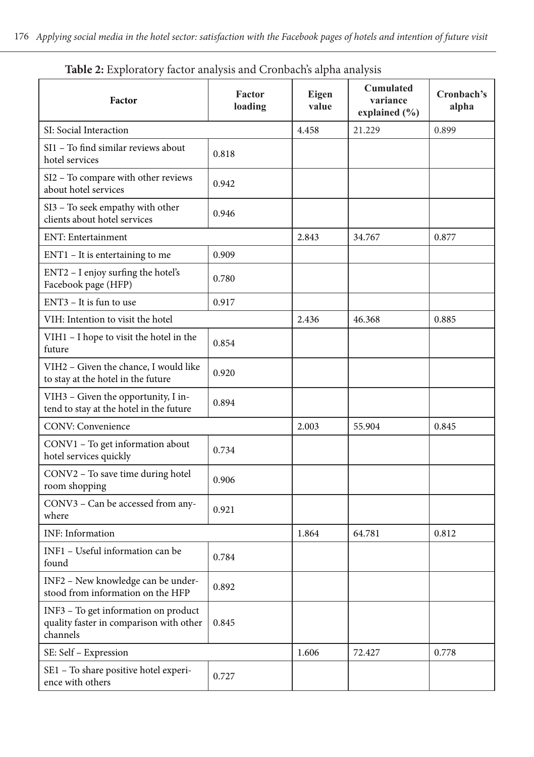| Factor                                                                                      | Factor<br>loading | Eigen<br>value | Cumulated<br>variance<br>explained (%) | Cronbach's<br>alpha |
|---------------------------------------------------------------------------------------------|-------------------|----------------|----------------------------------------|---------------------|
| SI: Social Interaction                                                                      |                   | 4.458          | 21.229                                 | 0.899               |
| SI1 - To find similar reviews about<br>hotel services                                       | 0.818             |                |                                        |                     |
| SI2 - To compare with other reviews<br>about hotel services                                 | 0.942             |                |                                        |                     |
| SI3 - To seek empathy with other<br>clients about hotel services                            | 0.946             |                |                                        |                     |
| ENT: Entertainment                                                                          |                   | 2.843          | 34.767                                 | 0.877               |
| $ENT1 - It$ is entertaining to me                                                           | 0.909             |                |                                        |                     |
| $ENT2 - I$ enjoy surfing the hotel's<br>Facebook page (HFP)                                 | 0.780             |                |                                        |                     |
| $ENT3 - It$ is fun to use                                                                   | 0.917             |                |                                        |                     |
| VIH: Intention to visit the hotel                                                           |                   | 2.436          | 46.368                                 | 0.885               |
| VIH1 - I hope to visit the hotel in the<br>future                                           | 0.854             |                |                                        |                     |
| VIH2 - Given the chance, I would like<br>to stay at the hotel in the future                 | 0.920             |                |                                        |                     |
| VIH3 – Given the opportunity, I in-<br>tend to stay at the hotel in the future              | 0.894             |                |                                        |                     |
| <b>CONV: Convenience</b>                                                                    |                   | 2.003          | 55.904                                 | 0.845               |
| CONV1 - To get information about<br>hotel services quickly                                  | 0.734             |                |                                        |                     |
| CONV2 - To save time during hotel<br>room shopping                                          | 0.906             |                |                                        |                     |
| CONV3 – Can be accessed from any-<br>where                                                  | 0.921             |                |                                        |                     |
| <b>INF:</b> Information                                                                     |                   | 1.864          | 64.781                                 | 0.812               |
| INF1 - Useful information can be<br>found                                                   | 0.784             |                |                                        |                     |
| INF2 - New knowledge can be under-<br>stood from information on the HFP                     | 0.892             |                |                                        |                     |
| INF3 – To get information on product<br>quality faster in comparison with other<br>channels | 0.845             |                |                                        |                     |
| SE: Self - Expression                                                                       |                   | 1.606          | 72.427                                 | 0.778               |
| SE1 - To share positive hotel experi-<br>ence with others                                   | 0.727             |                |                                        |                     |

**Table 2:** Exploratory factor analysis and Cronbach's alpha analysis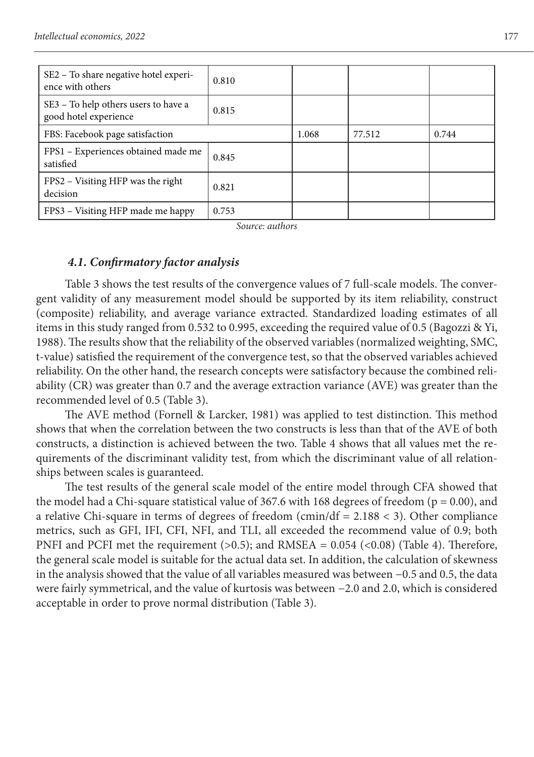| SE2 – To share negative hotel experi-<br>ence with others     | 0.810 |       |        |       |
|---------------------------------------------------------------|-------|-------|--------|-------|
| SE3 - To help others users to have a<br>good hotel experience | 0.815 |       |        |       |
| FBS: Facebook page satisfaction                               |       | 1.068 | 77.512 | 0.744 |
| FPS1 - Experiences obtained made me<br>satisfied              | 0.845 |       |        |       |
| FPS2 – Visiting HFP was the right<br>decision                 | 0.821 |       |        |       |
| FPS3 – Visiting HFP made me happy                             | 0.753 |       |        |       |

*Source: authors* 

### *4.1. Confirmatory factor analysis*

Table 3 shows the test results of the convergence values of 7 full-scale models. The convergent validity of any measurement model should be supported by its item reliability, construct (composite) reliability, and average variance extracted. Standardized loading estimates of all items in this study ranged from 0.532 to 0.995, exceeding the required value of 0.5 (Bagozzi & Yi, 1988). The results show that the reliability of the observed variables (normalized weighting, SMC, t-value) satisfied the requirement of the convergence test, so that the observed variables achieved reliability. On the other hand, the research concepts were satisfactory because the combined reliability (CR) was greater than 0.7 and the average extraction variance (AVE) was greater than the recommended level of 0.5 (Table 3).

The AVE method (Fornell & Larcker, 1981) was applied to test distinction. This method shows that when the correlation between the two constructs is less than that of the AVE of both constructs, a distinction is achieved between the two. Table 4 shows that all values met the requirements of the discriminant validity test, from which the discriminant value of all relationships between scales is guaranteed.

The test results of the general scale model of the entire model through CFA showed that the model had a Chi-square statistical value of 367.6 with 168 degrees of freedom ( $p = 0.00$ ), and a relative Chi-square in terms of degrees of freedom (cmin/df =  $2.188 < 3$ ). Other compliance metrics, such as GFI, IFI, CFI, NFI, and TLI, all exceeded the recommend value of 0.9; both PNFI and PCFI met the requirement (>0.5); and RMSEA = 0.054 (<0.08) (Table 4). Therefore, the general scale model is suitable for the actual data set. In addition, the calculation of skewness in the analysis showed that the value of all variables measured was between −0.5 and 0.5, the data were fairly symmetrical, and the value of kurtosis was between −2.0 and 2.0, which is considered acceptable in order to prove normal distribution (Table 3).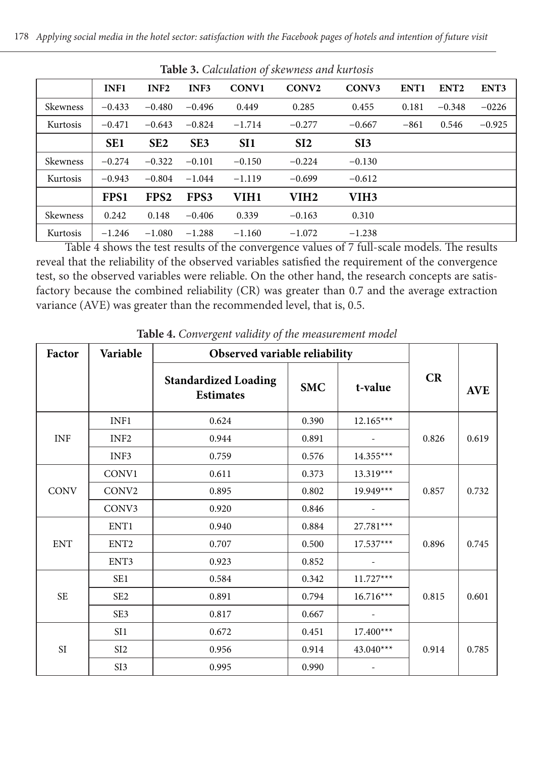| <b>Table 3.</b> Calculation of skewness and kurtosis |             |                  |                 |                 |                   |                   |                  |                  |          |
|------------------------------------------------------|-------------|------------------|-----------------|-----------------|-------------------|-------------------|------------------|------------------|----------|
|                                                      | <b>INF1</b> | INF <sub>2</sub> | INF3            | <b>CONV1</b>    | CONV <sub>2</sub> | CONV <sub>3</sub> | ENT <sub>1</sub> | ENT <sub>2</sub> | ENT3     |
| Skewness                                             | $-0.433$    | $-0.480$         | $-0.496$        | 0.449           | 0.285             | 0.455             | 0.181            | $-0.348$         | $-0226$  |
| Kurtosis                                             | $-0.471$    | $-0.643$         | $-0.824$        | $-1.714$        | $-0.277$          | $-0.667$          | $-861$           | 0.546            | $-0.925$ |
|                                                      | <b>SE1</b>  | SE <sub>2</sub>  | SE <sub>3</sub> | SI <sub>1</sub> | SI2               | SI3               |                  |                  |          |
| Skewness                                             | $-0.274$    | $-0.322$         | $-0.101$        | $-0.150$        | $-0.224$          | $-0.130$          |                  |                  |          |
| Kurtosis                                             | $-0.943$    | $-0.804$         | $-1.044$        | $-1.119$        | $-0.699$          | $-0.612$          |                  |                  |          |
|                                                      | FPS1        | FPS <sub>2</sub> | FPS3            | VIH1            | VIH2              | VIH3              |                  |                  |          |
| Skewness                                             | 0.242       | 0.148            | $-0.406$        | 0.339           | $-0.163$          | 0.310             |                  |                  |          |
| Kurtosis                                             | $-1.246$    | $-1.080$         | $-1.288$        | $-1.160$        | $-1.072$          | $-1.238$          |                  |                  |          |

Table 4 shows the test results of the convergence values of 7 full-scale models. The results reveal that the reliability of the observed variables satisfied the requirement of the convergence test, so the observed variables were reliable. On the other hand, the research concepts are satisfactory because the combined reliability (CR) was greater than 0.7 and the average extraction variance (AVE) was greater than the recommended level, that is, 0.5.

| Factor      | Variable          | Observed variable reliability                   |            |             |       |            |
|-------------|-------------------|-------------------------------------------------|------------|-------------|-------|------------|
|             |                   | <b>Standardized Loading</b><br><b>Estimates</b> | <b>SMC</b> | t-value     | CR    | <b>AVE</b> |
|             | INF1              | 0.624                                           | 0.390      | $12.165***$ |       |            |
| <b>INF</b>  | INF <sub>2</sub>  | 0.944                                           | 0.891      |             | 0.826 | 0.619      |
|             | INF3              | 0.759                                           | 0.576      | $14.355***$ |       |            |
|             | CONV1             | 0.611                                           | 0.373      | $13.319***$ |       |            |
| <b>CONV</b> | CONV <sub>2</sub> | 0.895                                           | 0.802      | $19.949***$ | 0.857 | 0.732      |
|             | CONV3             | 0.920                                           | 0.846      |             |       |            |
|             | ENT1              | 0.940                                           | 0.884      | $27.781***$ |       |            |
| <b>ENT</b>  | ENT <sub>2</sub>  | 0.707                                           | 0.500      | $17.537***$ | 0.896 | 0.745      |
|             | ENT3              | 0.923                                           | 0.852      |             |       |            |
|             | SE1               | 0.584                                           | 0.342      | $11.727***$ |       |            |
| <b>SE</b>   | SE <sub>2</sub>   | 0.891                                           | 0.794      | $16.716***$ | 0.815 | 0.601      |
|             | SE <sub>3</sub>   | 0.817                                           | 0.667      |             |       |            |
|             | SI1               | 0.672                                           | 0.451      | $17.400***$ |       |            |
| <b>SI</b>   | SI <sub>2</sub>   | 0.956                                           | 0.914      | $43.040***$ | 0.914 | 0.785      |
|             | SI3               | 0.995                                           | 0.990      |             |       |            |

**Table 4.** *Convergent validity of the measurement model*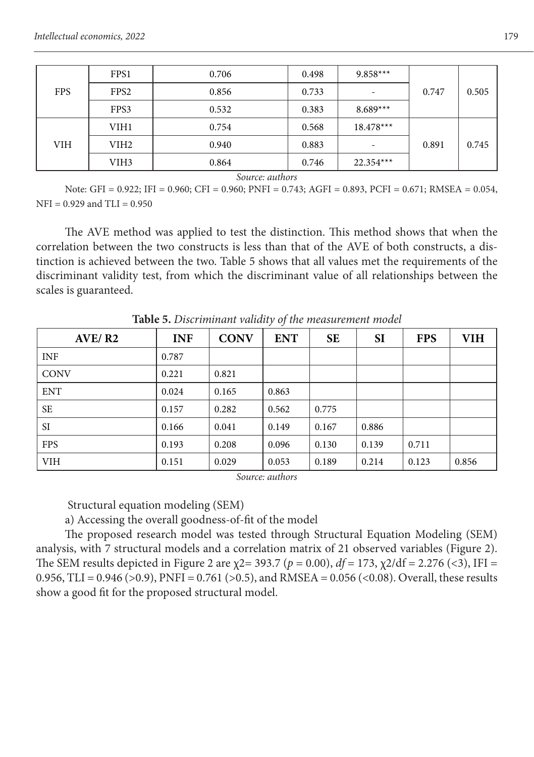|            | FPS1             | 0.706 | 0.498 | $9.858***$  |       |       |
|------------|------------------|-------|-------|-------------|-------|-------|
| <b>FPS</b> | FPS <sub>2</sub> | 0.856 | 0.733 | ۰           | 0.747 | 0.505 |
|            | FPS3             | 0.532 | 0.383 | $8.689***$  |       |       |
|            | VIH1             | 0.754 | 0.568 | $18.478***$ |       |       |
| <b>VIH</b> | VIH2             | 0.940 | 0.883 | -           | 0.891 | 0.745 |
|            | VIH <sub>3</sub> | 0.864 | 0.746 | $22.354***$ |       |       |

*Source: authors*

Note: GFI = 0.922; IFI = 0.960; CFI = 0.960; PNFI = 0.743; AGFI = 0.893, PCFI = 0.671; RMSEA = 0.054, NFI = 0.929 and TLI = 0.950

The AVE method was applied to test the distinction. This method shows that when the correlation between the two constructs is less than that of the AVE of both constructs, a distinction is achieved between the two. Table 5 shows that all values met the requirements of the discriminant validity test, from which the discriminant value of all relationships between the scales is guaranteed.

| AVE/ R2     | <b>INF</b> | <b>CONV</b> | <b>ENT</b> | <b>SE</b> | SI    | <b>FPS</b> | VIH   |
|-------------|------------|-------------|------------|-----------|-------|------------|-------|
| <b>INF</b>  | 0.787      |             |            |           |       |            |       |
| <b>CONV</b> | 0.221      | 0.821       |            |           |       |            |       |
| <b>ENT</b>  | 0.024      | 0.165       | 0.863      |           |       |            |       |
| SE          | 0.157      | 0.282       | 0.562      | 0.775     |       |            |       |
| <b>SI</b>   | 0.166      | 0.041       | 0.149      | 0.167     | 0.886 |            |       |
| <b>FPS</b>  | 0.193      | 0.208       | 0.096      | 0.130     | 0.139 | 0.711      |       |
| <b>VIH</b>  | 0.151      | 0.029       | 0.053      | 0.189     | 0.214 | 0.123      | 0.856 |

**Table 5.** *Discriminant validity of the measurement model*

*Source: authors*

Structural equation modeling (SEM)

a) Accessing the overall goodness-of-fit of the model

The proposed research model was tested through Structural Equation Modeling (SEM) analysis, with 7 structural models and a correlation matrix of 21 observed variables (Figure 2). The SEM results depicted in Figure 2 are χ2= 393.7 (*p* = 0.00), *df* = 173, χ2/df = 2.276 (<3), IFI = 0.956, TLI = 0.946 (>0.9), PNFI = 0.761 (>0.5), and RMSEA = 0.056 (<0.08). Overall, these results show a good fit for the proposed structural model.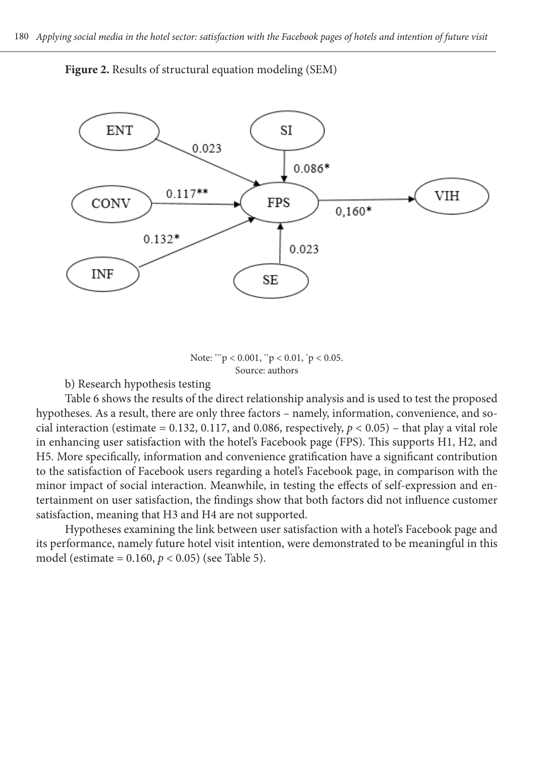

**Figure 2.** Results of structural equation modeling (SEM)

Note:  $\degree$   $p$  < 0.001,  $\degree$  p < 0.01,  $\degree$  p < 0.05. Source: authors

b) Research hypothesis testing

Table 6 shows the results of the direct relationship analysis and is used to test the proposed hypotheses. As a result, there are only three factors – namely, information, convenience, and social interaction (estimate =  $0.132$ ,  $0.117$ , and  $0.086$ , respectively,  $p < 0.05$ ) – that play a vital role in enhancing user satisfaction with the hotel's Facebook page (FPS). This supports H1, H2, and H5. More specifically, information and convenience gratification have a significant contribution to the satisfaction of Facebook users regarding a hotel's Facebook page, in comparison with the minor impact of social interaction. Meanwhile, in testing the effects of self-expression and entertainment on user satisfaction, the findings show that both factors did not influence customer satisfaction, meaning that H3 and H4 are not supported.

Hypotheses examining the link between user satisfaction with a hotel's Facebook page and its performance, namely future hotel visit intention, were demonstrated to be meaningful in this model (estimate =  $0.160, p < 0.05$ ) (see Table 5).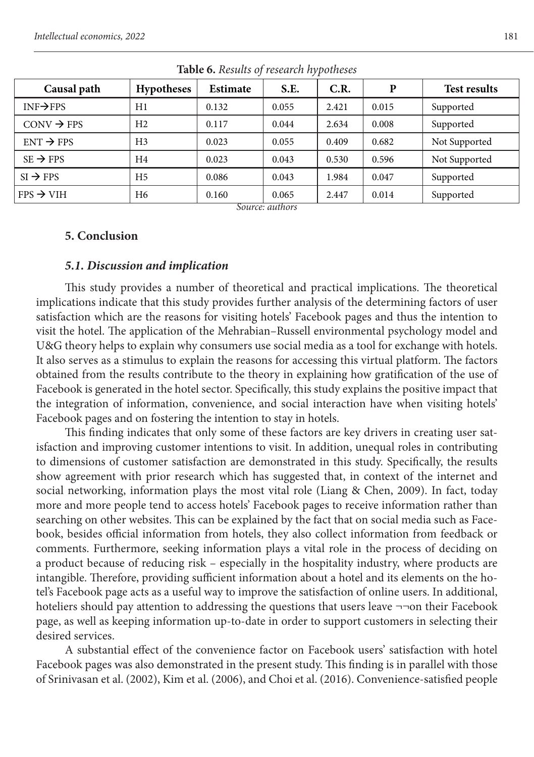| . .                    |                   |          |       |       |       |                     |  |  |
|------------------------|-------------------|----------|-------|-------|-------|---------------------|--|--|
| Causal path            | <b>Hypotheses</b> | Estimate | S.E.  | C.R.  | P     | <b>Test results</b> |  |  |
| $INF \rightarrow FPS$  | H1                | 0.132    | 0.055 | 2.421 | 0.015 | Supported           |  |  |
| $CONV \rightarrow FPS$ | H <sub>2</sub>    | 0.117    | 0.044 | 2.634 | 0.008 | Supported           |  |  |
| $ENT \rightarrow FPS$  | H <sub>3</sub>    | 0.023    | 0.055 | 0.409 | 0.682 | Not Supported       |  |  |
| $SE \rightarrow FPS$   | H4                | 0.023    | 0.043 | 0.530 | 0.596 | Not Supported       |  |  |
| $SI \rightarrow FPS$   | H <sub>5</sub>    | 0.086    | 0.043 | 1.984 | 0.047 | Supported           |  |  |
| $FPS \rightarrow VIH$  | H <sub>6</sub>    | 0.160    | 0.065 | 2.447 | 0.014 | Supported           |  |  |
| Common subsons         |                   |          |       |       |       |                     |  |  |

**Table 6.** *Results of research hypotheses*

*Source: authors* 

#### **5. Conclusion**

#### *5.1. Discussion and implication*

This study provides a number of theoretical and practical implications. The theoretical implications indicate that this study provides further analysis of the determining factors of user satisfaction which are the reasons for visiting hotels' Facebook pages and thus the intention to visit the hotel. The application of the Mehrabian–Russell environmental psychology model and U&G theory helps to explain why consumers use social media as a tool for exchange with hotels. It also serves as a stimulus to explain the reasons for accessing this virtual platform. The factors obtained from the results contribute to the theory in explaining how gratification of the use of Facebook is generated in the hotel sector. Specifically, this study explains the positive impact that the integration of information, convenience, and social interaction have when visiting hotels' Facebook pages and on fostering the intention to stay in hotels.

comments. Furthermore, seeking miorihation plays a vital fole in the process of declaing on<br>a product because of reducing risk – especially in the hospitality industry, where products are This finding indicates that only some of these factors are key drivers in creating user satisfaction and improving customer intentions to visit. In addition, unequal roles in contributing to dimensions of customer satisfaction are demonstrated in this study. Specifically, the results show agreement with prior research which has suggested that, in context of the internet and social networking, information plays the most vital role (Liang & Chen, 2009). In fact, today more and more people tend to access hotels' Facebook pages to receive information rather than searching on other websites. This can be explained by the fact that on social media such as Facebook, besides official information from hotels, they also collect information from feedback or comments. Furthermore, seeking information plays a vital role in the process of deciding on intangible. Therefore, providing sufficient information about a hotel and its elements on the hotel's Facebook page acts as a useful way to improve the satisfaction of online users. In additional, hoteliers should pay attention to addressing the questions that users leave ¬¬on their Facebook page, as well as keeping information up-to-date in order to support customers in selecting their desired services.

> A substantial effect of the convenience factor on Facebook users' satisfaction with hotel Facebook pages was also demonstrated in the present study. This finding is in parallel with those of Srinivasan et al. (2002), Kim et al. (2006), and Choi et al. (2016). Convenience-satisfied people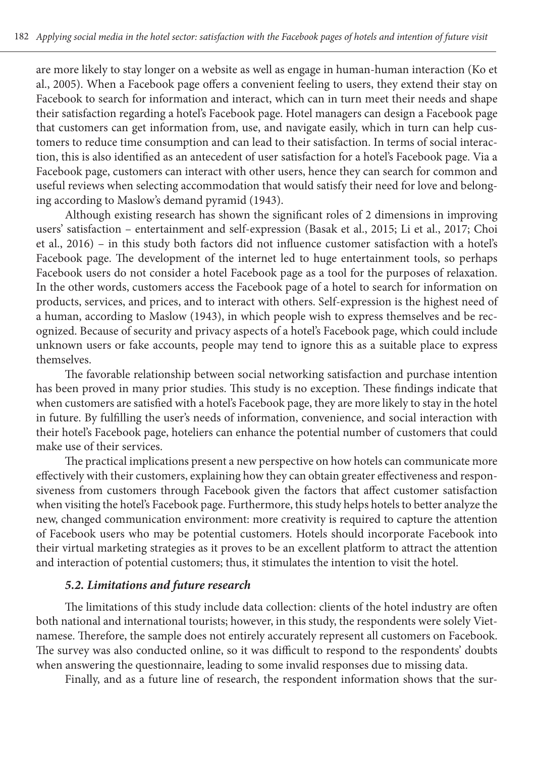are more likely to stay longer on a website as well as engage in human-human interaction (Ko et al., 2005). When a Facebook page offers a convenient feeling to users, they extend their stay on Facebook to search for information and interact, which can in turn meet their needs and shape their satisfaction regarding a hotel's Facebook page. Hotel managers can design a Facebook page that customers can get information from, use, and navigate easily, which in turn can help customers to reduce time consumption and can lead to their satisfaction. In terms of social interaction, this is also identified as an antecedent of user satisfaction for a hotel's Facebook page. Via a Facebook page, customers can interact with other users, hence they can search for common and useful reviews when selecting accommodation that would satisfy their need for love and belonging according to Maslow's demand pyramid (1943).

Although existing research has shown the significant roles of 2 dimensions in improving users' satisfaction – entertainment and self-expression (Basak et al., 2015; Li et al., 2017; Choi et al., 2016) – in this study both factors did not influence customer satisfaction with a hotel's Facebook page. The development of the internet led to huge entertainment tools, so perhaps Facebook users do not consider a hotel Facebook page as a tool for the purposes of relaxation. In the other words, customers access the Facebook page of a hotel to search for information on products, services, and prices, and to interact with others. Self-expression is the highest need of a human, according to Maslow (1943), in which people wish to express themselves and be recognized. Because of security and privacy aspects of a hotel's Facebook page, which could include unknown users or fake accounts, people may tend to ignore this as a suitable place to express themselves.

The favorable relationship between social networking satisfaction and purchase intention has been proved in many prior studies. This study is no exception. These findings indicate that when customers are satisfied with a hotel's Facebook page, they are more likely to stay in the hotel in future. By fulfilling the user's needs of information, convenience, and social interaction with their hotel's Facebook page, hoteliers can enhance the potential number of customers that could make use of their services.

The practical implications present a new perspective on how hotels can communicate more effectively with their customers, explaining how they can obtain greater effectiveness and responsiveness from customers through Facebook given the factors that affect customer satisfaction when visiting the hotel's Facebook page. Furthermore, this study helps hotels to better analyze the new, changed communication environment: more creativity is required to capture the attention of Facebook users who may be potential customers. Hotels should incorporate Facebook into their virtual marketing strategies as it proves to be an excellent platform to attract the attention and interaction of potential customers; thus, it stimulates the intention to visit the hotel.

#### *5.2. Limitations and future research*

The limitations of this study include data collection: clients of the hotel industry are often both national and international tourists; however, in this study, the respondents were solely Vietnamese. Therefore, the sample does not entirely accurately represent all customers on Facebook. The survey was also conducted online, so it was difficult to respond to the respondents' doubts when answering the questionnaire, leading to some invalid responses due to missing data.

Finally, and as a future line of research, the respondent information shows that the sur-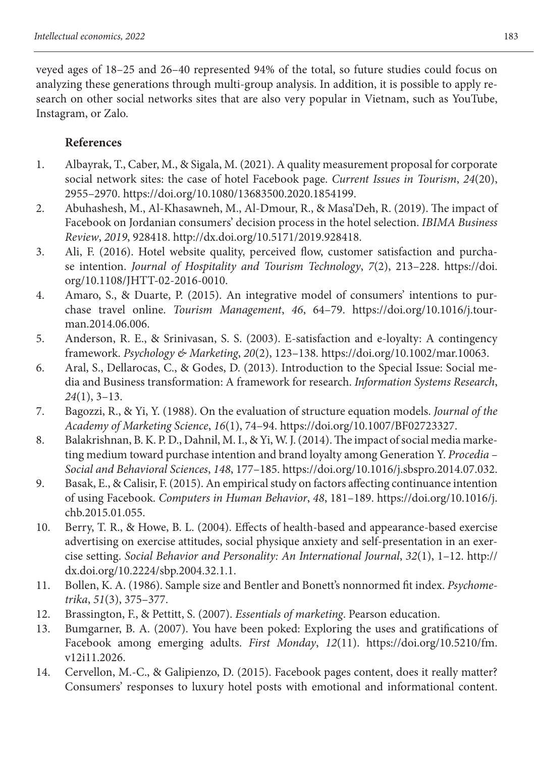veyed ages of 18–25 and 26–40 represented 94% of the total, so future studies could focus on analyzing these generations through multi-group analysis. In addition, it is possible to apply research on other social networks sites that are also very popular in Vietnam, such as YouTube, Instagram, or Zalo.

# **References**

- 1. Albayrak, T., Caber, M., & Sigala, M. (2021). A quality measurement proposal for corporate social network sites: the case of hotel Facebook page. *Current Issues in Tourism*, *24*(20), 2955–2970. https://doi.org/10.1080/13683500.2020.1854199.
- 2. Abuhashesh, M., Al-Khasawneh, M., Al-Dmour, R., & Masa'Deh, R. (2019). The impact of Facebook on Jordanian consumers' decision process in the hotel selection. *IBIMA Business Review*, *2019*, 928418. http://dx.doi.org/10.5171/2019.928418.
- 3. Ali, F. (2016). Hotel website quality, perceived flow, customer satisfaction and purchase intention. *Journal of Hospitality and Tourism Technology*, *7*(2), 213–228. https://doi. org/10.1108/JHTT-02-2016-0010.
- 4. Amaro, S., & Duarte, P. (2015). An integrative model of consumers' intentions to purchase travel online. *Tourism Management*, *46*, 64–79. https://doi.org/10.1016/j.tourman.2014.06.006.
- 5. Anderson, R. E., & Srinivasan, S. S. (2003). E-satisfaction and e-loyalty: A contingency framework. *Psychology & Marketing*, *20*(2), 123–138. https://doi.org/10.1002/mar.10063.
- 6. Aral, S., Dellarocas, C., & Godes, D. (2013). Introduction to the Special Issue: Social media and Business transformation: A framework for research. *Information Systems Research*, *24*(1), 3–13.
- 7. Bagozzi, R., & Yi, Y. (1988). On the evaluation of structure equation models. *Journal of the Academy of Marketing Science*, *16*(1), 74–94. https://doi.org/10.1007/BF02723327.
- 8. Balakrishnan, B. K. P. D., Dahnil, M. I., & Yi, W. J. (2014). The impact of social media marketing medium toward purchase intention and brand loyalty among Generation Y. *Procedia – Social and Behavioral Sciences*, *148*, 177–185. https://doi.org/10.1016/j.sbspro.2014.07.032.
- 9. Basak, E., & Calisir, F. (2015). An empirical study on factors affecting continuance intention of using Facebook. *Computers in Human Behavior*, *48*, 181–189. https://doi.org/10.1016/j. chb.2015.01.055.
- 10. Berry, T. R., & Howe, B. L. (2004). Effects of health-based and appearance-based exercise advertising on exercise attitudes, social physique anxiety and self-presentation in an exercise setting. *Social Behavior and Personality: An International Journal*, *32*(1), 1–12. http:// dx.doi.org/10.2224/sbp.2004.32.1.1.
- 11. Bollen, K. A. (1986). Sample size and Bentler and Bonett's nonnormed fit index. *Psychometrika*, *51*(3), 375–377.
- 12. Brassington, F., & Pettitt, S. (2007). *Essentials of marketing*. Pearson education.
- 13. Bumgarner, B. A. (2007). You have been poked: Exploring the uses and gratifications of Facebook among emerging adults. *First Monday*, *12*(11). https://doi.org/10.5210/fm. v12i11.2026.
- 14. Cervellon, M.-C., & Galipienzo, D. (2015). Facebook pages content, does it really matter? Consumers' responses to luxury hotel posts with emotional and informational content.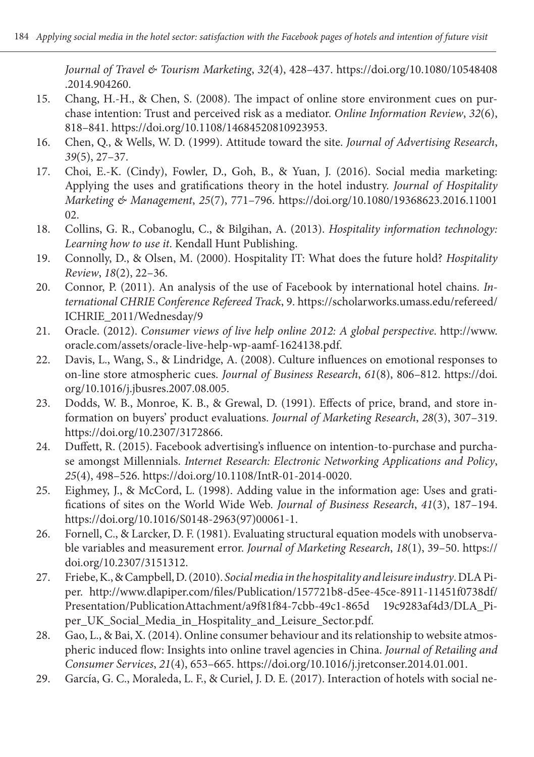*Journal of Travel & Tourism Marketing*, *32*(4), 428–437. https://doi.org/10.1080/10548408 .2014.904260.

- 15. Chang, H.-H., & Chen, S. (2008). The impact of online store environment cues on purchase intention: Trust and perceived risk as a mediator. *Online Information Review*, *32*(6), 818–841. https://doi.org/10.1108/14684520810923953.
- 16. Chen, Q., & Wells, W. D. (1999). Attitude toward the site. *Journal of Advertising Research*, *39*(5), 27–37.
- 17. Choi, E.-K. (Cindy), Fowler, D., Goh, B., & Yuan, J. (2016). Social media marketing: Applying the uses and gratifications theory in the hotel industry. *Journal of Hospitality Marketing & Management*, *25*(7), 771–796. https://doi.org/10.1080/19368623.2016.11001 02.
- 18. Collins, G. R., Cobanoglu, C., & Bilgihan, A. (2013). *Hospitality information technology: Learning how to use it*. Kendall Hunt Publishing.
- 19. Connolly, D., & Olsen, M. (2000). Hospitality IT: What does the future hold? *Hospitality Review*, *18*(2), 22–36.
- 20. Connor, P. (2011). An analysis of the use of Facebook by international hotel chains. *International CHRIE Conference Refereed Track*, 9. https://scholarworks.umass.edu/refereed/ ICHRIE\_2011/Wednesday/9
- 21. Oracle. (2012). *Consumer views of live help online 2012: A global perspective*. http://www. oracle.com/assets/oracle-live-help-wp-aamf-1624138.pdf.
- 22. Davis, L., Wang, S., & Lindridge, A. (2008). Culture influences on emotional responses to on-line store atmospheric cues. *Journal of Business Research*, *61*(8), 806–812. https://doi. org/10.1016/j.jbusres.2007.08.005.
- 23. Dodds, W. B., Monroe, K. B., & Grewal, D. (1991). Effects of price, brand, and store information on buyers' product evaluations. *Journal of Marketing Research*, *28*(3), 307–319. https://doi.org/10.2307/3172866.
- 24. Duffett, R. (2015). Facebook advertising's influence on intention-to-purchase and purchase amongst Millennials. *Internet Research: Electronic Networking Applications and Policy*, *25*(4), 498–526. https://doi.org/10.1108/IntR-01-2014-0020.
- 25. Eighmey, J., & McCord, L. (1998). Adding value in the information age: Uses and gratifications of sites on the World Wide Web. *Journal of Business Research*, *41*(3), 187–194. https://doi.org/10.1016/S0148-2963(97)00061-1.
- 26. Fornell, C., & Larcker, D. F. (1981). Evaluating structural equation models with unobservable variables and measurement error. *Journal of Marketing Research*, *18*(1), 39–50. https:// doi.org/10.2307/3151312.
- 27. Friebe, K., & Campbell, D. (2010). *Social media in the hospitality and leisure industry*. DLA Piper. http://www.dlapiper.com/files/Publication/157721b8-d5ee-45ce-8911-11451f0738df/ Presentation/PublicationAttachment/a9f81f84-7cbb-49c1-865d 19c9283af4d3/DLA\_Piper\_UK\_Social\_Media\_in\_Hospitality\_and\_Leisure\_Sector.pdf.
- 28. Gao, L., & Bai, X. (2014). Online consumer behaviour and its relationship to website atmospheric induced flow: Insights into online travel agencies in China. *Journal of Retailing and Consumer Services*, *21*(4), 653–665. https://doi.org/10.1016/j.jretconser.2014.01.001.
- 29. García, G. C., Moraleda, L. F., & Curiel, J. D. E. (2017). Interaction of hotels with social ne-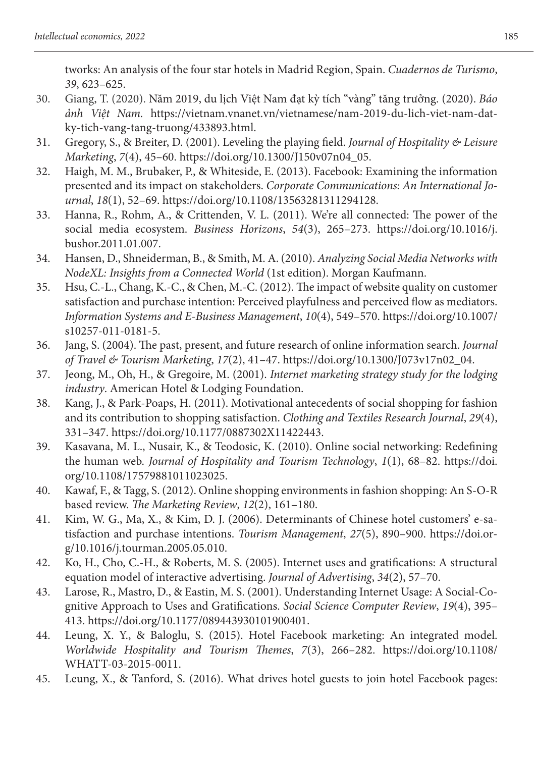tworks: An analysis of the four star hotels in Madrid Region, Spain. *Cuadernos de Turismo*, *39*, 623–625.

- 30. Giang, T. (2020). Năm 2019, du lịch Việt Nam đạt kỳ tích "vàng" tăng trưởng. (2020). *Báo ảnh Việt Nam.* https://vietnam.vnanet.vn/vietnamese/nam-2019-du-lich-viet-nam-datky-tich-vang-tang-truong/433893.html.
- 31. Gregory, S., & Breiter, D. (2001). Leveling the playing field. *Journal of Hospitality & Leisure Marketing*, *7*(4), 45–60. https://doi.org/10.1300/J150v07n04\_05.
- 32. Haigh, M. M., Brubaker, P., & Whiteside, E. (2013). Facebook: Examining the information presented and its impact on stakeholders. *Corporate Communications: An International Journal*, *18*(1), 52–69. https://doi.org/10.1108/13563281311294128.
- 33. Hanna, R., Rohm, A., & Crittenden, V. L. (2011). We're all connected: The power of the social media ecosystem. *Business Horizons*, *54*(3), 265–273. https://doi.org/10.1016/j. bushor.2011.01.007.
- 34. Hansen, D., Shneiderman, B., & Smith, M. A. (2010). *Analyzing Social Media Networks with NodeXL: Insights from a Connected World* (1st edition). Morgan Kaufmann.
- 35. Hsu, C.-L., Chang, K.-C., & Chen, M.-C. (2012). The impact of website quality on customer satisfaction and purchase intention: Perceived playfulness and perceived flow as mediators. *Information Systems and E-Business Management*, *10*(4), 549–570. https://doi.org/10.1007/ s10257-011-0181-5.
- 36. Jang, S. (2004). The past, present, and future research of online information search. *Journal of Travel & Tourism Marketing*, *17*(2), 41–47. https://doi.org/10.1300/J073v17n02\_04.
- 37. Jeong, M., Oh, H., & Gregoire, M. (2001). *Internet marketing strategy study for the lodging industry*. American Hotel & Lodging Foundation.
- 38. Kang, J., & Park-Poaps, H. (2011). Motivational antecedents of social shopping for fashion and its contribution to shopping satisfaction. *Clothing and Textiles Research Journal*, *29*(4), 331–347. https://doi.org/10.1177/0887302X11422443.
- 39. Kasavana, M. L., Nusair, K., & Teodosic, K. (2010). Online social networking: Redefining the human web. *Journal of Hospitality and Tourism Technology*, *1*(1), 68–82. https://doi. org/10.1108/17579881011023025.
- 40. Kawaf, F., & Tagg, S. (2012). Online shopping environments in fashion shopping: An S-O-R based review. *The Marketing Review*, *12*(2), 161–180.
- 41. Kim, W. G., Ma, X., & Kim, D. J. (2006). Determinants of Chinese hotel customers' e-satisfaction and purchase intentions. *Tourism Management*, *27*(5), 890–900. https://doi.org/10.1016/j.tourman.2005.05.010.
- 42. Ko, H., Cho, C.-H., & Roberts, M. S. (2005). Internet uses and gratifications: A structural equation model of interactive advertising. *Journal of Advertising*, *34*(2), 57–70.
- 43. Larose, R., Mastro, D., & Eastin, M. S. (2001). Understanding Internet Usage: A Social-Cognitive Approach to Uses and Gratifications. *Social Science Computer Review*, *19*(4), 395– 413. https://doi.org/10.1177/089443930101900401.
- 44. Leung, X. Y., & Baloglu, S. (2015). Hotel Facebook marketing: An integrated model. *Worldwide Hospitality and Tourism Themes*, *7*(3), 266–282. https://doi.org/10.1108/ WHATT-03-2015-0011.
- 45. Leung, X., & Tanford, S. (2016). What drives hotel guests to join hotel Facebook pages: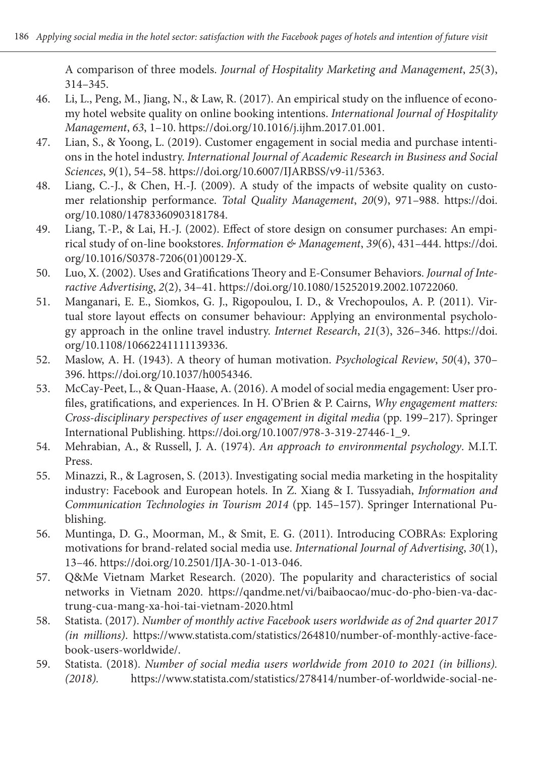A comparison of three models. *Journal of Hospitality Marketing and Management*, *25*(3), 314–345.

- 46. Li, L., Peng, M., Jiang, N., & Law, R. (2017). An empirical study on the influence of economy hotel website quality on online booking intentions. *International Journal of Hospitality Management*, *63*, 1–10. https://doi.org/10.1016/j.ijhm.2017.01.001.
- 47. Lian, S., & Yoong, L. (2019). Customer engagement in social media and purchase intentions in the hotel industry. *International Journal of Academic Research in Business and Social Sciences*, *9*(1), 54–58. https://doi.org/10.6007/IJARBSS/v9-i1/5363.
- 48. Liang, C.-J., & Chen, H.-J. (2009). A study of the impacts of website quality on customer relationship performance. *Total Quality Management*, *20*(9), 971–988. https://doi. org/10.1080/14783360903181784.
- 49. Liang, T.-P., & Lai, H.-J. (2002). Effect of store design on consumer purchases: An empirical study of on-line bookstores. *Information & Management*, *39*(6), 431–444. https://doi. org/10.1016/S0378-7206(01)00129-X.
- 50. Luo, X. (2002). Uses and Gratifications Theory and E-Consumer Behaviors. *Journal of Interactive Advertising*, *2*(2), 34–41. https://doi.org/10.1080/15252019.2002.10722060.
- 51. Manganari, E. E., Siomkos, G. J., Rigopoulou, I. D., & Vrechopoulos, A. P. (2011). Virtual store layout effects on consumer behaviour: Applying an environmental psychology approach in the online travel industry. *Internet Research*, *21*(3), 326–346. https://doi. org/10.1108/10662241111139336.
- 52. Maslow, A. H. (1943). A theory of human motivation. *Psychological Review*, *50*(4), 370– 396. https://doi.org/10.1037/h0054346.
- 53. McCay-Peet, L., & Quan-Haase, A. (2016). A model of social media engagement: User profiles, gratifications, and experiences. In H. O'Brien & P. Cairns, *Why engagement matters: Cross-disciplinary perspectives of user engagement in digital media* (pp. 199–217). Springer International Publishing. https://doi.org/10.1007/978-3-319-27446-1\_9.
- 54. Mehrabian, A., & Russell, J. A. (1974). *An approach to environmental psychology*. M.I.T. Press.
- 55. Minazzi, R., & Lagrosen, S. (2013). Investigating social media marketing in the hospitality industry: Facebook and European hotels. In Z. Xiang & I. Tussyadiah, *Information and Communication Technologies in Tourism 2014* (pp. 145–157). Springer International Publishing.
- 56. Muntinga, D. G., Moorman, M., & Smit, E. G. (2011). Introducing COBRAs: Exploring motivations for brand-related social media use. *International Journal of Advertising*, *30*(1), 13–46. https://doi.org/10.2501/IJA-30-1-013-046.
- 57. Q&Me Vietnam Market Research. (2020). The popularity and characteristics of social networks in Vietnam 2020. https://qandme.net/vi/baibaocao/muc-do-pho-bien-va-dactrung-cua-mang-xa-hoi-tai-vietnam-2020.html
- 58. Statista. (2017). *Number of monthly active Facebook users worldwide as of 2nd quarter 2017 (in millions)*. https://www.statista.com/statistics/264810/number-of-monthly-active-facebook-users-worldwide/.
- 59. Statista. (2018)*. Number of social media users worldwide from 2010 to 2021 (in billions). (2018).* https://www.statista.com/statistics/278414/number-of-worldwide-social-ne-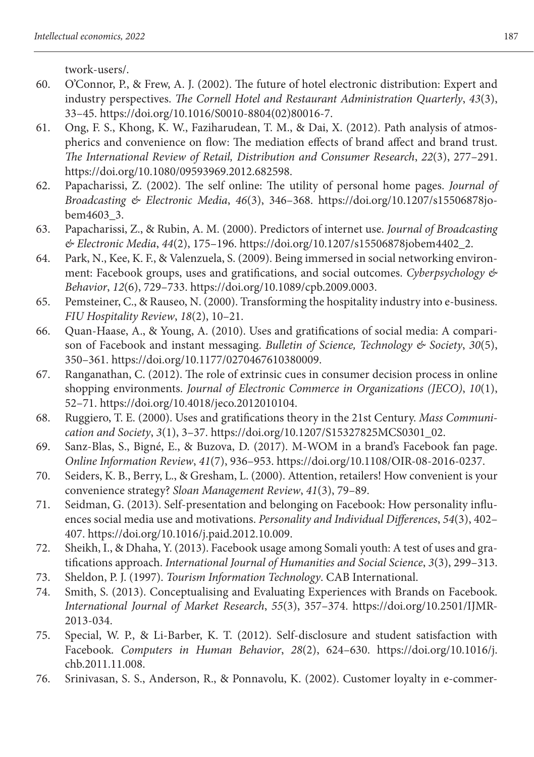twork-users/.

- 60. O'Connor, P., & Frew, A. J. (2002). The future of hotel electronic distribution: Expert and industry perspectives. *The Cornell Hotel and Restaurant Administration Quarterly*, *43*(3), 33–45. https://doi.org/10.1016/S0010-8804(02)80016-7.
- 61. Ong, F. S., Khong, K. W., Faziharudean, T. M., & Dai, X. (2012). Path analysis of atmospherics and convenience on flow: The mediation effects of brand affect and brand trust. *The International Review of Retail, Distribution and Consumer Research*, *22*(3), 277–291. https://doi.org/10.1080/09593969.2012.682598.
- 62. Papacharissi, Z. (2002). The self online: The utility of personal home pages. *Journal of Broadcasting & Electronic Media*, *46*(3), 346–368. https://doi.org/10.1207/s15506878jobem4603\_3.
- 63. Papacharissi, Z., & Rubin, A. M. (2000). Predictors of internet use. *Journal of Broadcasting & Electronic Media*, *44*(2), 175–196. https://doi.org/10.1207/s15506878jobem4402\_2.
- 64. Park, N., Kee, K. F., & Valenzuela, S. (2009). Being immersed in social networking environment: Facebook groups, uses and gratifications, and social outcomes. *Cyberpsychology & Behavior*, *12*(6), 729–733. https://doi.org/10.1089/cpb.2009.0003.
- 65. Pemsteiner, C., & Rauseo, N. (2000). Transforming the hospitality industry into e-business. *FIU Hospitality Review*, *18*(2), 10–21.
- 66. Quan-Haase, A., & Young, A. (2010). Uses and gratifications of social media: A comparison of Facebook and instant messaging. *Bulletin of Science, Technology & Society*, *30*(5), 350–361. https://doi.org/10.1177/0270467610380009.
- 67. Ranganathan, C. (2012). The role of extrinsic cues in consumer decision process in online shopping environments. *Journal of Electronic Commerce in Organizations (JECO)*, *10*(1), 52–71. https://doi.org/10.4018/jeco.2012010104.
- 68. Ruggiero, T. E. (2000). Uses and gratifications theory in the 21st Century. *Mass Communication and Society*, *3*(1), 3–37. https://doi.org/10.1207/S15327825MCS0301\_02.
- 69. Sanz-Blas, S., Bigné, E., & Buzova, D. (2017). M-WOM in a brand's Facebook fan page. *Online Information Review*, *41*(7), 936–953. https://doi.org/10.1108/OIR-08-2016-0237.
- 70. Seiders, K. B., Berry, L., & Gresham, L. (2000). Attention, retailers! How convenient is your convenience strategy? *Sloan Management Review*, *41*(3), 79–89.
- 71. Seidman, G. (2013). Self-presentation and belonging on Facebook: How personality influences social media use and motivations. *Personality and Individual Differences*, *54*(3), 402– 407. https://doi.org/10.1016/j.paid.2012.10.009.
- 72. Sheikh, I., & Dhaha, Y. (2013). Facebook usage among Somali youth: A test of uses and gratifications approach. *International Journal of Humanities and Social Science*, *3*(3), 299–313.
- 73. Sheldon, P. J. (1997). *Tourism Information Technology*. CAB International.
- 74. Smith, S. (2013). Conceptualising and Evaluating Experiences with Brands on Facebook. *International Journal of Market Research*, *55*(3), 357–374. https://doi.org/10.2501/IJMR-2013-034.
- 75. Special, W. P., & Li-Barber, K. T. (2012). Self-disclosure and student satisfaction with Facebook. *Computers in Human Behavior*, *28*(2), 624–630. https://doi.org/10.1016/j. chb.2011.11.008.
- 76. Srinivasan, S. S., Anderson, R., & Ponnavolu, K. (2002). Customer loyalty in e-commer-